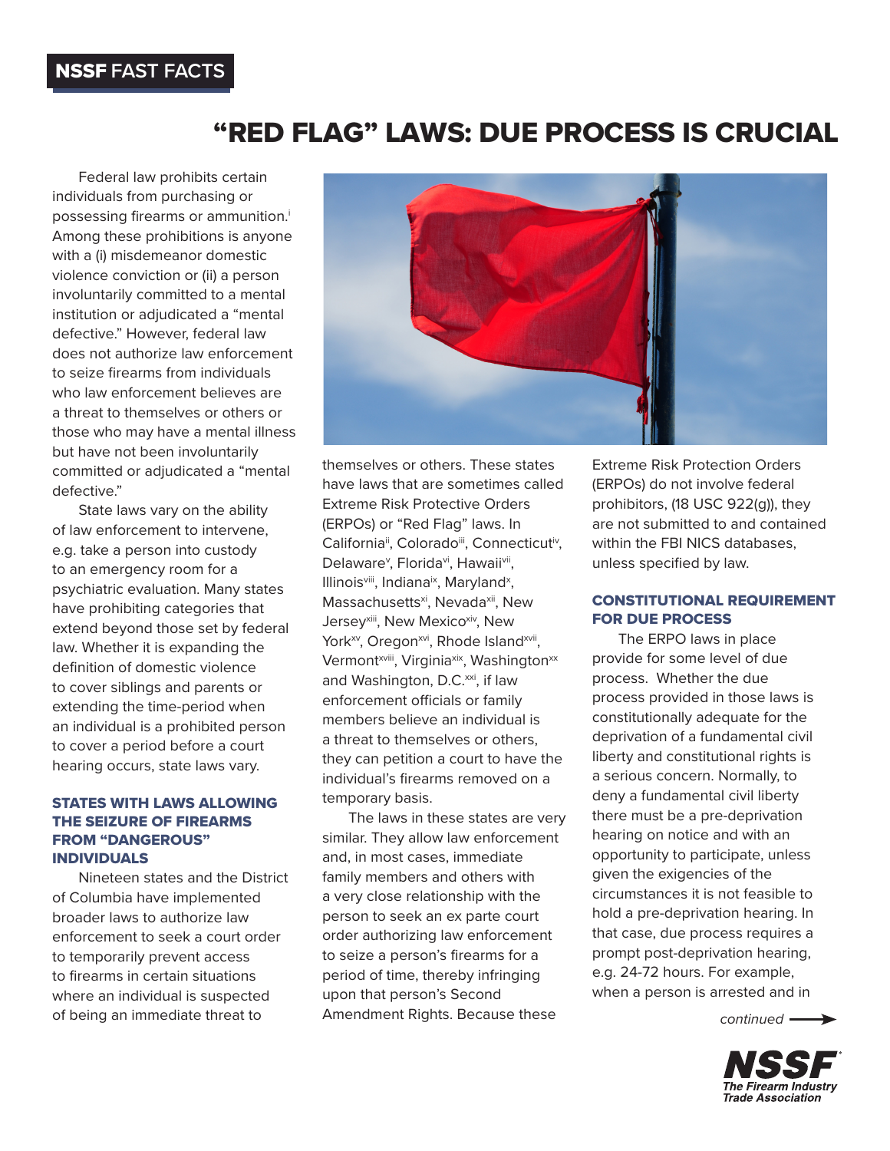## "RED FLAG" LAWS: DUE PROCESS IS CRUCIAL

Federal law prohibits certain individuals from purchasing or possessing firearms or ammunition.<sup>i</sup> Among these prohibitions is anyone with a (i) misdemeanor domestic violence conviction or (ii) a person involuntarily committed to a mental institution or adjudicated a "mental defective." However, federal law does not authorize law enforcement to seize firearms from individuals who law enforcement believes are a threat to themselves or others or those who may have a mental illness but have not been involuntarily committed or adjudicated a "mental defective."

State laws vary on the ability of law enforcement to intervene, e.g. take a person into custody to an emergency room for a psychiatric evaluation. Many states have prohibiting categories that extend beyond those set by federal law. Whether it is expanding the definition of domestic violence to cover siblings and parents or extending the time-period when an individual is a prohibited person to cover a period before a court hearing occurs, state laws vary.

## STATES WITH LAWS ALLOWING THE SEIZURE OF FIREARMS FROM "DANGEROUS" INDIVIDUALS

Nineteen states and the District of Columbia have implemented broader laws to authorize law enforcement to seek a court order to temporarily prevent access to firearms in certain situations where an individual is suspected of being an immediate threat to



themselves or others. These states have laws that are sometimes called Extreme Risk Protective Orders (ERPOs) or "Red Flag" laws. In California<sup>ii</sup>, Colorado<sup>iii</sup>, Connecticut<sup>iv</sup>, Delaware<sup>v</sup>, Florida<sup>vi</sup>, Hawaii<sup>vii</sup>, Illinoisviii, Indiana<sup>ix</sup>, Maryland<sup>x</sup>, Massachusetts<sup>xi</sup>, Nevada<sup>xii</sup>, New Jersey<sup>xiii</sup>, New Mexicoxiv, New York<sup>xv</sup>, Oregon<sup>xvi</sup>, Rhode Island<sup>xvii</sup>, Vermont<sup>xviii</sup>, Virginiaxix, Washington<sup>xx</sup> and Washington, D.C.<sup>xxi</sup>, if law enforcement officials or family members believe an individual is a threat to themselves or others, they can petition a court to have the individual's firearms removed on a temporary basis.

The laws in these states are very similar. They allow law enforcement and, in most cases, immediate family members and others with a very close relationship with the person to seek an ex parte court order authorizing law enforcement to seize a person's firearms for a period of time, thereby infringing upon that person's Second Amendment Rights. Because these

Extreme Risk Protection Orders (ERPOs) do not involve federal prohibitors, (18 USC 922(g)), they are not submitted to and contained within the FBI NICS databases, unless specified by law.

## CONSTITUTIONAL REQUIREMENT FOR DUE PROCESS

The ERPO laws in place provide for some level of due process. Whether the due process provided in those laws is constitutionally adequate for the deprivation of a fundamental civil liberty and constitutional rights is a serious concern. Normally, to deny a fundamental civil liberty there must be a pre-deprivation hearing on notice and with an opportunity to participate, unless given the exigencies of the circumstances it is not feasible to hold a pre-deprivation hearing. In that case, due process requires a prompt post-deprivation hearing, e.g. 24-72 hours. For example, when a person is arrested and in